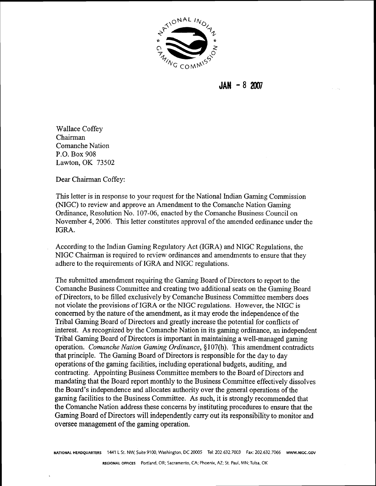

**JAN** - **8 <sup>2007</sup>**

Wallace Coffey Chairman Comanche Nation P.O. Box 908 Lawton, OK 73502

Dear Chairman Coffey:

This letter is in response to your request for the National Indian Gaming Commission (NIGC) to review and approve an Amendment to the Comanche Nation Gaming Ordinance, Resolution No. 107-06, enacted by the Comanche Business Council on November 4,2006. This letter constitutes approval of the amended ordinance under the IGRA.

According to the Indian Gaming Regulatory Act (IGRA) and NIGC Regulations, the NIGC Chairman is required to review ordinances and amendments to ensure that they adhere to the requirements of IGRA and NIGC regulations.

The submitted amendment requiring the Gaming Board of Directors to report to the Comanche Business Committee and creating two additional seats on the Gaming Board of Directors, to be filled exclusively by Comanche Business Committee members does not violate the provisions of IGRA or the NIGC regulations. However, the NIGC is concerned by the nature of the amendment, as it may erode the independence of the Tribal Gaming Board of Directors and greatly increase the potential for conflicts of interest. As recognized by the Comanche Nation in its gaming ordinance, an independent Tribal Gaming Board of Directors is important in maintaining a well-managed gaming operation. Comanche Nation Gaming Ordinance, **8** 107(h). This amendment contradicts that principle. The Gaming Board of Directors is responsible for the day to day operations of the gaming facilities, including operational budgets, auditing, and contracting. Appointing Business Committee members to the Board of Directors and mandating that the Board report monthly to the Business Committee effectively dissolves the Board's independence and allocates authority over the general operations of the gaming facilities to the Business Committee. As such, it is strongly recommended that the Comanche Nation address these concerns by instituting procedures to ensure that the Gaming Board of Directors will independently cany out its responsibility to monitor and oversee management of the gaming operation.

**NATIONAL HEADQUARTERS 1441** L St. NW, Suite 9100, Washington, **DC 20005** Tel: **202.632.7003** Fax: **202.632.7066 WWW.NlGC.GOV**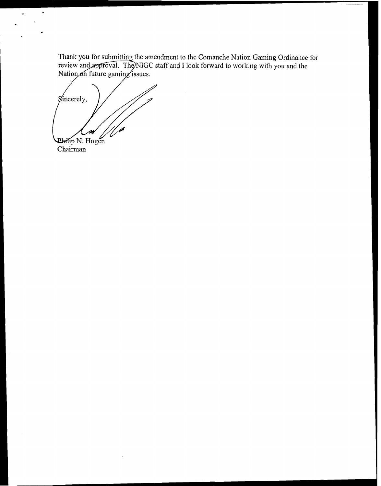amendment to the Comanche Nation Gaming Ordinance for staff and I look forward to working with you and the

*g*incerely, Philip N. Hogen<br>Chairman

 $\hat{\mathbf{r}}$ 

 $\hat{\mathbf{a}}$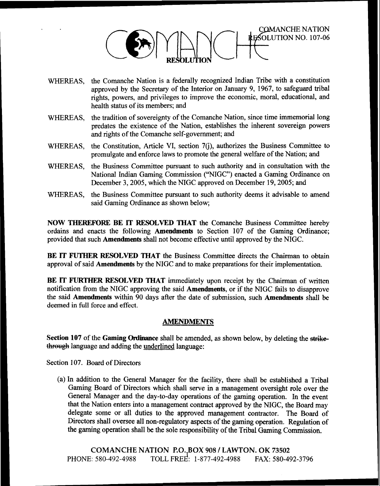

- WHEREAS, the Comanche Nation is a federally recognized Indian Tribe with a constitution approved by the Secretary of the Interior on January 9, 1967, to safeguard tribal rights, powers, and privileges to improve the economic, moral, educational, and health status of its members; and
- WHEREAS, the tradition of sovereignty of the Comanche Nation, since time immemorial long predates the existence of the Nation, establishes the inherent sovereign powers and rights of the Comanche self-government; and
- WHEREAS, the Constitution, Article VI, section 7(j), authorizes the Business Committee to promulgate and enforce laws to promote the general welfare of the Nation; and
- WHEREAS, the Business Committee pursuant to such authority and in consultation with the National Indian Gaming Commission ("NIGC") enacted a Gaming Ordinance on December 3,2005, which the NIGC approved on December 19,2005; and
- WHEREAS, the Business Committee pursuant to such authority deems it advisable to amend said Gaming Ordinance as shown below;

NOW THEREFORE BE IT RESOLVED THAT the Comanche Business Committee hereby ordains and enacts the following Amendments to Section 107 of the Gaming Ordinance; provided that such Amendments shall not become effective until approved by the NIGC.

BE IT **FOTHER** RESOLVED THAT the Business Committee directs the Chairman to obtain approval of said Amendments by the NIGC and to make preparations for their implementation.

BE IT FURTHER RESOLVED THAT immediately upon receipt by the Chairman of written notification from the NIGC approving the said Amendments, or if the NIGC fails to disapprove the said Amendments within 90 days after the date of submission, such Amendments shall be deemed in full force and effect.

## **AMENDMENTS**

Section 107 of the Gaming Ordinance shall be amended, as shown below, by deleting the strikethrough language and adding the underlined language:

Section 107. Board of Directors

(a) In addition to the General Manager for the facility, there shall be established a Tribal Gaming Board of Directors which shall serve in a management oversight role over the General Manager and the day-to-day operations of the gaming operation. In the event that the Nation enters into a management contract approved by the NIGC, the Board may delegate some or all duties to the approved management contractor. The Board of Directors shall oversee all non-regulatory aspects of the gaming operation. Regulation of the gaming operation shall be the sole responsibility of the Tribal Gaming Commission.

**COMANCHE NATION P.O. BOX 908 1 LAWTON.** OK 73502 PHONE: 580-492-4988 TOLL FREE: 1-877-492-4988 FAX: 580-492-3796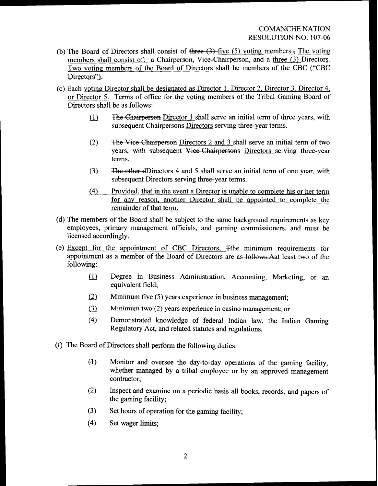- (b) The Board of Directors shall consist of three  $(3)$ -five (5) voting members.; The voting members shall consist of: a Chairperson, Vice-Chairperson, and a three (3) Directors. Two voting members of the Board of Directors shall be members of the CBC ("CBC Directors").
- (c) Each voting Director shall be designated as Director 1, Director 2, Director 3, Director 4, or Director 5. Terms of office for the voting members of the Tribal Gaming Board of Directors shall be as follows:
	- $(1)$  The Chairperson Director 1 shall serve an initial term of three years, with subsequent Chairpersons-Directors serving three-year terms.
	- $(2)$  The Vice-Chairperson Directors 2 and 3 shall serve an initial term of two years, with subsequent Viee-Chairpersons Directors serving three-year terms.
	- $(3)$  The other dDirectors 4 and 5 shall serve an initial term of one year, with subsequent Directors serving three-year terms.
	- (4) Provided, that in the event a Director is unable to complete his or her term for any reason, another Director shall be appointed to complete the remainder of that term.
- (d) The members of the Board shall be subject to the same background requirements as key employees, primary management officials, and gaming commissioners, and must be licensed accordingly.
- (e) Except for the appointment of CBC Directors, Tthe minimum requirements for appointment as a member of the Board of Directors are as follows: Aat least two of the following:
	- (1) Degree in Business Administration, Accounting, Marketing, or an equivalent field;
	- (2) Minimum five (5) years experience in business management;
	- (3) Minimum two (2) years experience in casino management; or
	- (4) Demonstrated knowledge of federal Indian law, the Indian Gaming Regulatory Act, and related statutes and regulations.
- **(f)** The Board of Directors shall perform the following duties:
	- **(.I)** Monitor and oversee the day-to-day operations of the gaming facility, whether managed by a tribal employee or by **an** approved management contractor;
	- (2) Inspect and examine on a periodic basis all books, records, and papers of the gaming facility;
	- **(3)** Set hours of operation for the gaming facility;
	- (4) Set wager limits;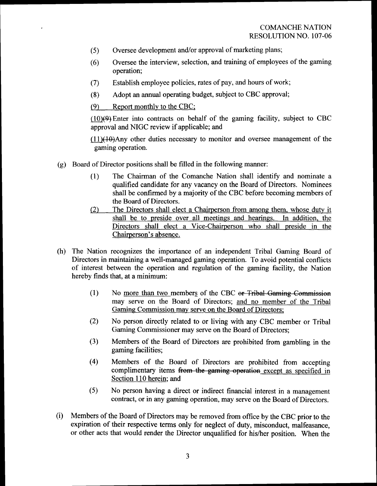- (5) Oversee development and/or approval of marketing plans;
- (6) Oversee the interview, selection, and training of employees of the gaming operation;
- (7) Establish employee policies, rates of pay, and hours of work;
- **(8)** Adopt an annual operating budget, subject to CBC approval;

**(9)** Report monthly to the CBC;

 $(10)(9)$  Enter into contracts on behalf of the gaming facility, subject to CBC approval and NIGC review if applicable; and

 $(11)(10)$ Any other duties necessary to monitor and oversee management of the gaming operation.

- (g) Board of Director positions shall be filled in the following manner:
	- (1) The Chairman of the Comanche Nation shall identify and nominate a qualified candidate for any vacancy on the Board of Directors. Nominees shall be confirmed by a majority of the CBC before becoming members of the Board of Directors.
	- *(2)* The Directors shall elect a Chairperson from among them, whose duty it shall be to preside over all meetings and hearings. In addition, the Directors shall elect a Vice-Chairperson who shall preside in the Chairperson's absence.
- (h) The Nation recognizes the importance of an independent Tribal Gaming Board of Directors in maintaining a well-managed gaming operation. To avoid potential conflicts of interest between the operation and regulation of the gaming facility, the Nation hereby finds that, at a minimum:
	- $(1)$  No more than two members of the CBC or-Tribal-Gaming Commission may serve on the Board of Directors; and no member of the Tribal Gaming Commission may serve on the Board of Directors;
	- *(2)* No person directly related to or living with any CBC member or Tribal Gaming Commissioner may serve on the Board of Directors;
	- **(3)** Members of the Board of Directors are prohibited from gambling in the gaming facilities;
	- (4) Members of the Board of Directors are prohibited from accepting complimentary items from the gaming operation except as specified in Section 110 herein; and
	- (5) No person having a direct or indirect financial interest in a management contract, or in any gaming operation, may serve on the Board of Directors.
- (i) Members of the Board of Directors may be removed from office by the CBC prior to the expiration of their respective terms only for neglect of duty, misconduct, malfeasance, or other acts that would render the Director unqualified for his/her position. When the